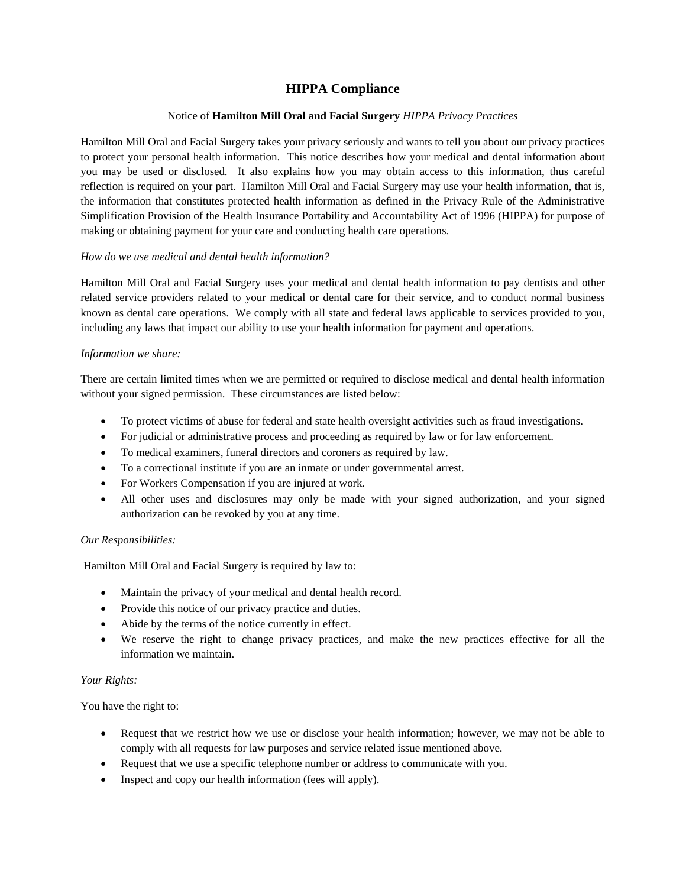# **HIPPA Compliance**

### Notice of **Hamilton Mill Oral and Facial Surgery** *HIPPA Privacy Practices*

Hamilton Mill Oral and Facial Surgery takes your privacy seriously and wants to tell you about our privacy practices to protect your personal health information. This notice describes how your medical and dental information about you may be used or disclosed. It also explains how you may obtain access to this information, thus careful reflection is required on your part. Hamilton Mill Oral and Facial Surgery may use your health information, that is, the information that constitutes protected health information as defined in the Privacy Rule of the Administrative Simplification Provision of the Health Insurance Portability and Accountability Act of 1996 (HIPPA) for purpose of making or obtaining payment for your care and conducting health care operations.

#### *How do we use medical and dental health information?*

Hamilton Mill Oral and Facial Surgery uses your medical and dental health information to pay dentists and other related service providers related to your medical or dental care for their service, and to conduct normal business known as dental care operations. We comply with all state and federal laws applicable to services provided to you, including any laws that impact our ability to use your health information for payment and operations.

#### *Information we share:*

There are certain limited times when we are permitted or required to disclose medical and dental health information without your signed permission. These circumstances are listed below:

- To protect victims of abuse for federal and state health oversight activities such as fraud investigations.
- For judicial or administrative process and proceeding as required by law or for law enforcement.
- To medical examiners, funeral directors and coroners as required by law.
- To a correctional institute if you are an inmate or under governmental arrest.
- For Workers Compensation if you are injured at work.
- All other uses and disclosures may only be made with your signed authorization, and your signed authorization can be revoked by you at any time.

#### *Our Responsibilities:*

Hamilton Mill Oral and Facial Surgery is required by law to:

- Maintain the privacy of your medical and dental health record.
- Provide this notice of our privacy practice and duties.
- Abide by the terms of the notice currently in effect.
- We reserve the right to change privacy practices, and make the new practices effective for all the information we maintain.

#### *Your Rights:*

You have the right to:

- Request that we restrict how we use or disclose your health information; however, we may not be able to comply with all requests for law purposes and service related issue mentioned above.
- Request that we use a specific telephone number or address to communicate with you.
- Inspect and copy our health information (fees will apply).